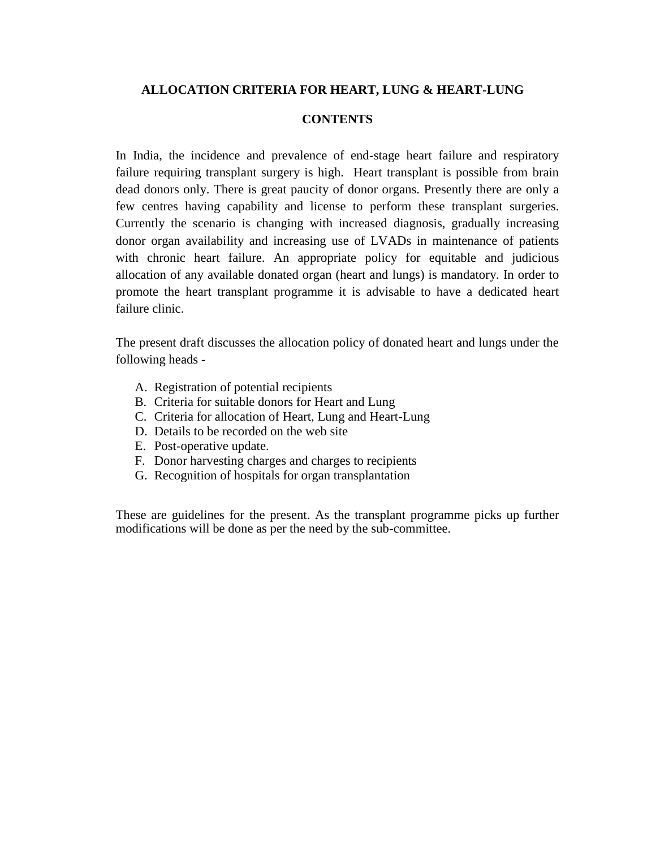### **ALLOCATION CRITERIA FOR HEART, LUNG & HEART-LUNG**

#### **CONTENTS**

In India, the incidence and prevalence of end-stage heart failure and respiratory failure requiring transplant surgery is high. Heart transplant is possible from brain dead donors only. There is great paucity of donor organs. Presently there are only a few centres having capability and license to perform these transplant surgeries. Currently the scenario is changing with increased diagnosis, gradually increasing donor organ availability and increasing use of LVADs in maintenance of patients with chronic heart failure. An appropriate policy for equitable and judicious allocation of any available donated organ (heart and lungs) is mandatory. In order to promote the heart transplant programme it is advisable to have a dedicated heart failure clinic.

The present draft discusses the allocation policy of donated heart and lungs under the following heads -

- A. Registration of potential recipients
- B. Criteria for suitable donors for Heart and Lung
- C. Criteria for allocation of Heart, Lung and Heart-Lung
- D. Details to be recorded on the web site
- E. Post-operative update.
- F. Donor harvesting charges and charges to recipients
- G. Recognition of hospitals for organ transplantation

These are guidelines for the present. As the transplant programme picks up further modifications will be done as per the need by the sub-committee.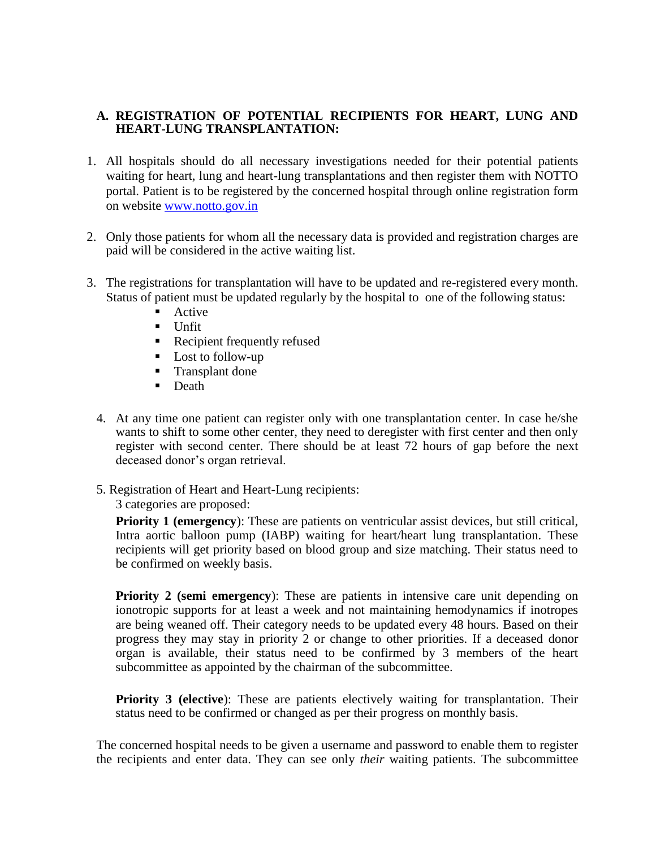### **A. REGISTRATION OF POTENTIAL RECIPIENTS FOR HEART, LUNG AND HEART-LUNG TRANSPLANTATION:**

- 1. All hospitals should do all necessary investigations needed for their potential patients waiting for heart, lung and heart-lung transplantations and then register them with NOTTO portal. Patient is to be registered by the concerned hospital through online registration form on website [www.notto.gov.in](http://www.notto.gov.in/)
- 2. Only those patients for whom all the necessary data is provided and registration charges are paid will be considered in the active waiting list.
- 3. The registrations for transplantation will have to be updated and re-registered every month. Status of patient must be updated regularly by the hospital to one of the following status:
	- Active
	- $\blacksquare$  Unfit
	- **Recipient frequently refused**
	- **Lost to follow-up**
	- **Transplant done**
	- **Death**
	- 4. At any time one patient can register only with one transplantation center. In case he/she wants to shift to some other center, they need to deregister with first center and then only register with second center. There should be at least 72 hours of gap before the next deceased donor's organ retrieval.
	- 5. Registration of Heart and Heart-Lung recipients:
		- 3 categories are proposed:

**Priority 1 (emergency):** These are patients on ventricular assist devices, but still critical, Intra aortic balloon pump (IABP) waiting for heart/heart lung transplantation. These recipients will get priority based on blood group and size matching. Their status need to be confirmed on weekly basis.

**Priority 2 (semi emergency):** These are patients in intensive care unit depending on ionotropic supports for at least a week and not maintaining hemodynamics if inotropes are being weaned off. Their category needs to be updated every 48 hours. Based on their progress they may stay in priority 2 or change to other priorities. If a deceased donor organ is available, their status need to be confirmed by 3 members of the heart subcommittee as appointed by the chairman of the subcommittee.

**Priority 3 (elective):** These are patients electively waiting for transplantation. Their status need to be confirmed or changed as per their progress on monthly basis.

The concerned hospital needs to be given a username and password to enable them to register the recipients and enter data. They can see only *their* waiting patients. The subcommittee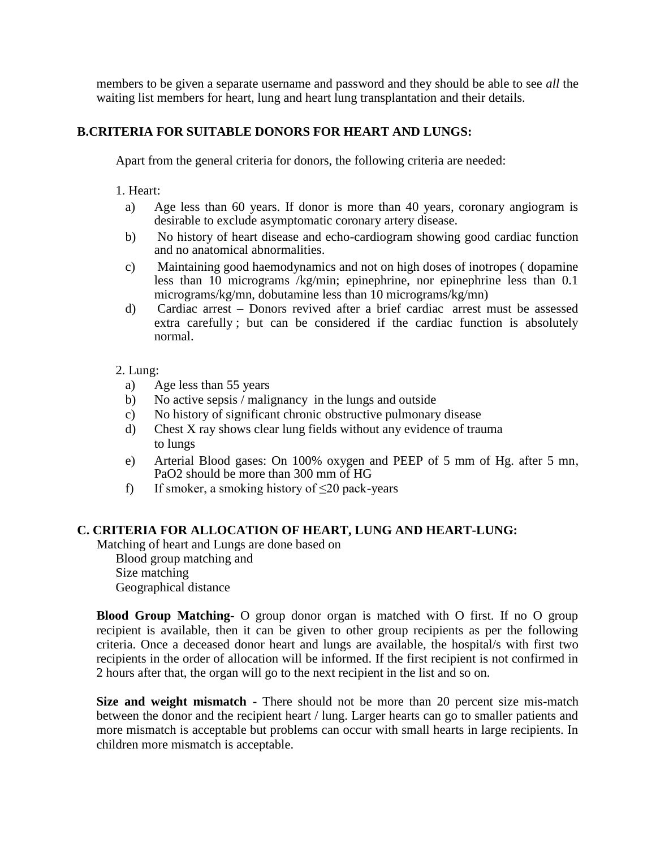members to be given a separate username and password and they should be able to see *all* the waiting list members for heart, lung and heart lung transplantation and their details.

### **B.CRITERIA FOR SUITABLE DONORS FOR HEART AND LUNGS:**

Apart from the general criteria for donors, the following criteria are needed:

1. Heart:

- a) Age less than 60 years. If donor is more than 40 years, coronary angiogram is desirable to exclude asymptomatic coronary artery disease.
- b) No history of heart disease and echo-cardiogram showing good cardiac function and no anatomical abnormalities.
- c) Maintaining good haemodynamics and not on high doses of inotropes ( dopamine less than 10 micrograms /kg/min; epinephrine, nor epinephrine less than 0.1 micrograms/kg/mn, dobutamine less than 10 micrograms/kg/mn)
- d) Cardiac arrest Donors revived after a brief cardiac arrest must be assessed extra carefully ; but can be considered if the cardiac function is absolutely normal.

### 2. Lung:

- a) Age less than 55 years
- b) No active sepsis / malignancy in the lungs and outside
- c) No history of significant chronic obstructive pulmonary disease
- d) Chest X ray shows clear lung fields without any evidence of trauma to lungs
- e) Arterial Blood gases: On 100% oxygen and PEEP of 5 mm of Hg. after 5 mn, PaO2 should be more than 300 mm of HG
- f) If smoker, a smoking history of  $\leq$ 20 pack-years

## **C. CRITERIA FOR ALLOCATION OF HEART, LUNG AND HEART-LUNG:**

Matching of heart and Lungs are done based on Blood group matching and Size matching Geographical distance

**Blood Group Matching**- O group donor organ is matched with O first. If no O group recipient is available, then it can be given to other group recipients as per the following criteria. Once a deceased donor heart and lungs are available, the hospital/s with first two recipients in the order of allocation will be informed. If the first recipient is not confirmed in 2 hours after that, the organ will go to the next recipient in the list and so on.

**Size and weight mismatch -** There should not be more than 20 percent size mis-match between the donor and the recipient heart / lung. Larger hearts can go to smaller patients and more mismatch is acceptable but problems can occur with small hearts in large recipients. In children more mismatch is acceptable.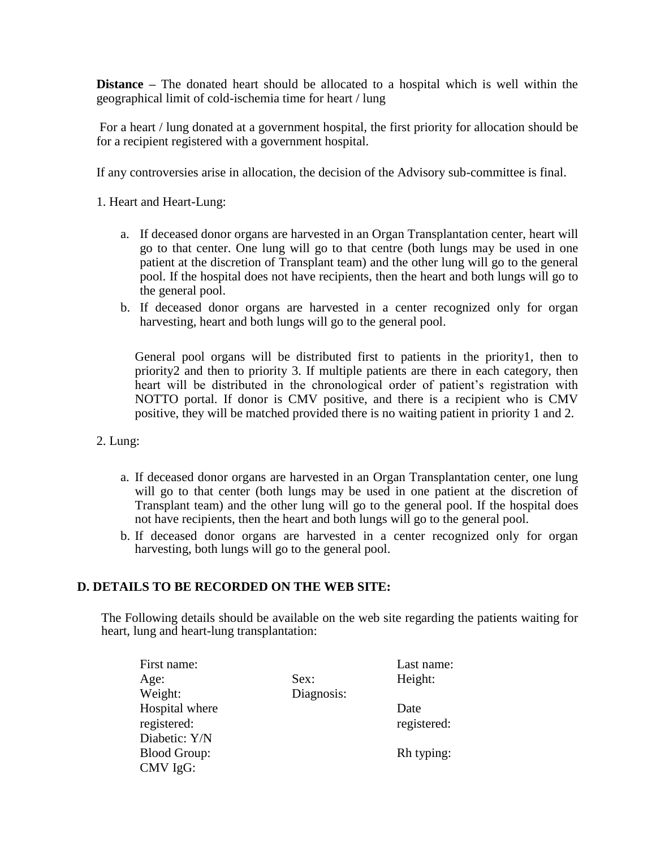**Distance –** The donated heart should be allocated to a hospital which is well within the geographical limit of cold-ischemia time for heart / lung

For a heart / lung donated at a government hospital, the first priority for allocation should be for a recipient registered with a government hospital.

If any controversies arise in allocation, the decision of the Advisory sub-committee is final.

1. Heart and Heart-Lung:

- a. If deceased donor organs are harvested in an Organ Transplantation center, heart will go to that center. One lung will go to that centre (both lungs may be used in one patient at the discretion of Transplant team) and the other lung will go to the general pool. If the hospital does not have recipients, then the heart and both lungs will go to the general pool.
- b. If deceased donor organs are harvested in a center recognized only for organ harvesting, heart and both lungs will go to the general pool.

General pool organs will be distributed first to patients in the priority1, then to priority2 and then to priority 3. If multiple patients are there in each category, then heart will be distributed in the chronological order of patient's registration with NOTTO portal. If donor is CMV positive, and there is a recipient who is CMV positive, they will be matched provided there is no waiting patient in priority 1 and 2.

- 2. Lung:
	- a. If deceased donor organs are harvested in an Organ Transplantation center, one lung will go to that center (both lungs may be used in one patient at the discretion of Transplant team) and the other lung will go to the general pool. If the hospital does not have recipients, then the heart and both lungs will go to the general pool.
	- b. If deceased donor organs are harvested in a center recognized only for organ harvesting, both lungs will go to the general pool.

## **D. DETAILS TO BE RECORDED ON THE WEB SITE:**

The Following details should be available on the web site regarding the patients waiting for heart, lung and heart-lung transplantation:

| First name:         |            | Last name:  |
|---------------------|------------|-------------|
| Age:                | Sex:       | Height:     |
| Weight:             | Diagnosis: |             |
| Hospital where      |            | Date        |
| registered:         |            | registered: |
| Diabetic: Y/N       |            |             |
| <b>Blood Group:</b> |            | Rh typing:  |
| CMV IgG:            |            |             |